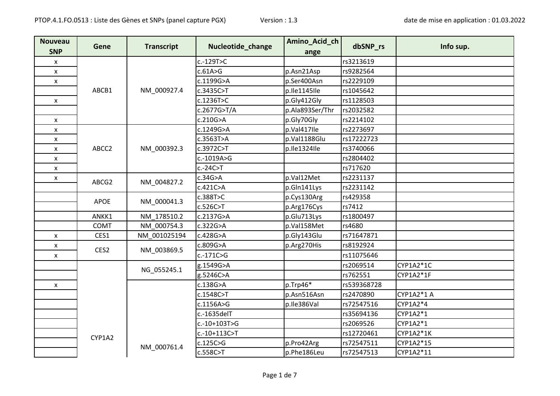| <b>Nouveau</b><br><b>SNP</b> | Gene        | <b>Transcript</b> | Nucleotide_change | Amino_Acid_ch<br>ange | dbSNP_rs       | Info sup.   |          |
|------------------------------|-------------|-------------------|-------------------|-----------------------|----------------|-------------|----------|
| X                            |             |                   | c.-129T>C         |                       | rs3213619      |             |          |
| $\pmb{\mathsf{x}}$           |             |                   | c.61A>G           | p.Asn21Asp            | rs9282564      |             |          |
| X                            |             |                   | c.1199G>A         | p.Ser400Asn           | rs2229109      |             |          |
|                              | ABCB1       | NM_000927.4       | c.3435C>T         | p.lle1145lle          | rs1045642      |             |          |
| X                            |             |                   | c.1236T>C         | p.Gly412Gly           | rs1128503      |             |          |
|                              |             |                   | c.2677G>T/A       | p.Ala893Ser/Thr       | rs2032582      |             |          |
| X                            |             |                   | c.210G>A          | p.Gly70Gly            | rs2214102      |             |          |
| X                            |             |                   | c.1249G>A         | p.Val417lle           | rs2273697      |             |          |
| X                            |             |                   | c.3563T>A         | p.Val1188Glu          | rs17222723     |             |          |
| X                            | ABCC2       | NM_000392.3       | c.3972C>T         | p.Ile1324Ile          | rs3740066      |             |          |
| X                            |             |                   | c.-1019A>G        |                       | rs2804402      |             |          |
| X                            |             |                   | $c.-24C>$ T       |                       | rs717620       |             |          |
| $\pmb{\mathsf{x}}$           | ABCG2       | NM 004827.2       | c.34G > A         | p.Val12Met            | rs2231137      |             |          |
|                              |             |                   | c.421C>A          | p.Gln141Lys           | rs2231142      |             |          |
|                              | <b>APOE</b> | NM_000041.3       | c.388T>C          | p.Cys130Arg           | rs429358       |             |          |
|                              |             |                   | c.526C>T          | p.Arg176Cys           | rs7412         |             |          |
|                              | ANKK1       | NM_178510.2       | c.2137G>A         | p.Glu713Lys           | rs1800497      |             |          |
|                              | COMT        | NM 000754.3       | c.322G>A          | p.Val158Met           | rs4680         |             |          |
| X                            | CES1        | NM 001025194      | c.428G>A          | p.Gly143Glu           | rs71647871     |             |          |
| X                            |             | NM_003869.5       | c.809G>A          | p.Arg270His           | rs8192924      |             |          |
| X                            | CES2        |                   | $c.-171C>G$       |                       | rs11075646     |             |          |
|                              |             |                   | g.1549G>A         |                       | rs2069514      | CYP1A2*1C   |          |
|                              |             | NG_055245.1       | g.5246C>A         |                       | rs762551       | CYP1A2*1F   |          |
| X                            |             |                   |                   | c.138G>A              | $p$ .Trp46 $*$ | rs539368728 |          |
|                              |             |                   | c.1548C>T         | p.Asn516Asn           | rs2470890      | CYP1A2*1 A  |          |
|                              |             |                   |                   | c.1156A>G             | p.Ile386Val    | rs72547516  | CYP1A2*4 |
|                              |             |                   | c.-1635delT       |                       | rs35694136     | CYP1A2*1    |          |
|                              |             |                   | c.-10+103T>G      |                       | rs2069526      | CYP1A2*1    |          |
|                              | CYP1A2      |                   | c.-10+113C>T      |                       | rs12720461     | CYP1A2*1K   |          |
|                              |             | NM_000761.4       | c.125C>G          | p.Pro42Arg            | rs72547511     | CYP1A2*15   |          |
|                              |             |                   | c.558C>T          | p.Phe186Leu           | rs72547513     | CYP1A2*11   |          |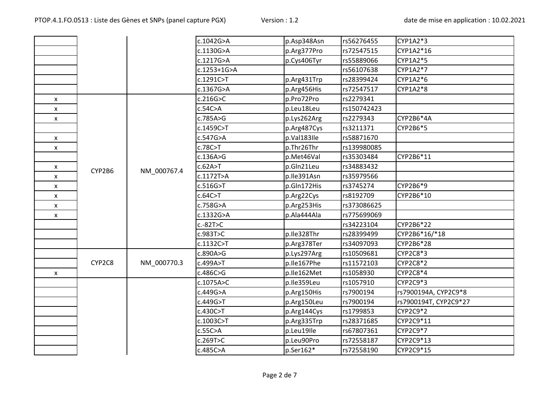|                           |        |                       | c.1042G>A   | p.Asp348Asn | rs56276455  | CYP1A2*3              |
|---------------------------|--------|-----------------------|-------------|-------------|-------------|-----------------------|
|                           |        |                       | c.1130G>A   | p.Arg377Pro | rs72547515  | CYP1A2*16             |
|                           |        |                       | c.1217G>A   | p.Cys406Tyr | rs55889066  | CYP1A2*5              |
|                           |        |                       | c.1253+1G>A |             | rs56107638  | CYP1A2*7              |
|                           |        |                       | c.1291C>T   | p.Arg431Trp | rs28399424  | CYP1A2*6              |
|                           |        |                       | c.1367G>A   | p.Arg456His | rs72547517  | CYP1A2*8              |
| X                         |        |                       | c.216G > C  | p.Pro72Pro  | rs2279341   |                       |
| $\pmb{\mathsf{X}}$        |        |                       | c.54C>A     | p.Leu18Leu  | rs150742423 |                       |
| X                         |        |                       | c.785A>G    | p.Lys262Arg | rs2279343   | CYP2B6*4A             |
|                           |        |                       | c.1459C>T   | p.Arg487Cys | rs3211371   | CYP2B6*5              |
| $\mathsf{x}$              |        |                       | c.547G>A    | p.Val183Ile | rs58871670  |                       |
| $\pmb{\mathsf{X}}$        |        |                       | c.78C>T     | p.Thr26Thr  | rs139980085 |                       |
|                           |        |                       | c.136A>G    | p.Met46Val  | rs35303484  | CYP2B6*11             |
| $\pmb{\mathsf{X}}$        |        | CYP2B6<br>NM_000767.4 | c.62A > T   | p.Gln21Leu  | rs34883432  |                       |
| X                         |        |                       | c.1172T>A   | p.Ile391Asn | rs35979566  |                       |
| $\pmb{\mathsf{x}}$        |        |                       | c.516G>T    | p.Gln172His | rs3745274   | CYP2B6*9              |
| $\pmb{\mathsf{x}}$        |        |                       | c.64C > T   | p.Arg22Cys  | rs8192709   | CYP2B6*10             |
| $\boldsymbol{\mathsf{x}}$ |        |                       | c.758G>A    | p.Arg253His | rs373086625 |                       |
| X                         |        |                       | c.1332G>A   | p.Ala444Ala | rs775699069 |                       |
|                           |        |                       | c.-82T>C    |             | rs34223104  | CYP2B6*22             |
|                           |        |                       | c.983T>C    | p.Ile328Thr | rs28399499  | CYP2B6*16/*18         |
|                           |        |                       | c.1132C > T | p.Arg378Ter | rs34097093  | CYP2B6*28             |
|                           |        |                       | c.890A>G    | p.Lys297Arg | rs10509681  | CYP2C8*3              |
|                           | CYP2C8 | NM_000770.3           | c.499A>T    | p.Ile167Phe | rs11572103  | CYP2C8*2              |
| X                         |        |                       | c.486C>G    | p.Ile162Met | rs1058930   | CYP2C8*4              |
|                           |        |                       | c.1075A>C   | p.Ile359Leu | rs1057910   | CYP2C9*3              |
|                           |        |                       | c.449G>A    | p.Arg150His | rs7900194   | rs7900194A, CYP2C9*8  |
|                           |        |                       | c.449G>T    | p.Arg150Leu | rs7900194   | rs7900194T, CYP2C9*27 |
|                           |        |                       | c.430C>T    | p.Arg144Cys | rs1799853   | CYP2C9*2              |
|                           |        |                       | c.1003C > T | p.Arg335Trp | rs28371685  | CYP2C9*11             |
|                           |        |                       | c.55C>A     | p.Leu19lle  | rs67807361  | CYP2C9*7              |
|                           |        |                       | c.269T>C    | p.Leu90Pro  | rs72558187  | CYP2C9*13             |
|                           |        |                       | c.485C>A    | p.Ser162*   | rs72558190  | CYP2C9*15             |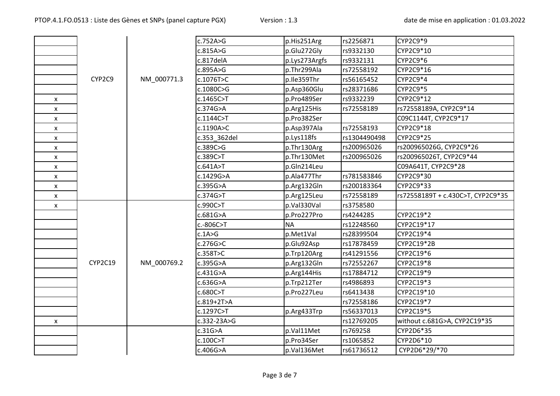|   |         |             | c.752A>G     | p.His251Arg   | rs2256871    | CYP2C9*9                          |
|---|---------|-------------|--------------|---------------|--------------|-----------------------------------|
|   |         |             | c.815A>G     | p.Glu272Gly   | rs9332130    | CYP2C9*10                         |
|   |         |             | c.817delA    | p.Lys273Argfs | rs9332131    | CYP2C9*6                          |
|   |         |             | c.895A>G     | p.Thr299Ala   | rs72558192   | CYP2C9*16                         |
|   | CYP2C9  | NM_000771.3 | c.1076T>C    | p.Ile359Thr   | rs56165452   | CYP2C9*4                          |
|   |         |             | c.1080C>G    | p.Asp360Glu   | rs28371686   | CYP2C9*5                          |
| X |         |             | c.1465C>T    | p.Pro489Ser   | rs9332239    | CYP2C9*12                         |
| X |         |             | c.374G>A     | p.Arg125His   | rs72558189   | rs72558189A, CYP2C9*14            |
| X |         |             | c.1144C>T    | p.Pro382Ser   |              | C09C1144T, CYP2C9*17              |
| X |         |             | c.1190A>C    | p.Asp397Ala   | rs72558193   | CYP2C9*18                         |
| X |         |             | c.353 362del | p.Lys118fs    | rs1304490498 | CYP2C9*25                         |
| X |         |             | c.389C>G     | p.Thr130Arg   | rs200965026  | rs200965026G, CYP2C9*26           |
| X |         |             | c.389C>T     | p.Thr130Met   | rs200965026  | rs200965026T, CYP2C9*44           |
| X |         |             | c.641A > T   | p.Gln214Leu   |              | C09A641T, CYP2C9*28               |
| X |         |             | c.1429G>A    | p.Ala477Thr   | rs781583846  | CYP2C9*30                         |
| X |         |             | c.395G>A     | p.Arg132Gln   | rs200183364  | CYP2C9*33                         |
| X |         |             | c.374G>T     | p.Arg125Leu   | rs72558189   | rs72558189T + c.430C>T, CYP2C9*35 |
| X |         |             | c.990C>T     | p.Val330Val   | rs3758580    |                                   |
|   |         |             | c.681G>A     | p.Pro227Pro   | rs4244285    | CYP2C19*2                         |
|   |         |             | c.-806C>T    | <b>NA</b>     | rs12248560   | CYP2C19*17                        |
|   |         |             | c.1A>G       | p.Met1Val     | rs28399504   | CYP2C19*4                         |
|   |         |             | c.276G > C   | p.Glu92Asp    | rs17878459   | CYP2C19*2B                        |
|   |         |             | c.358T>C     | p.Trp120Arg   | rs41291556   | CYP2C19*6                         |
|   | CYP2C19 | NM_000769.2 | c.395G>A     | p.Arg132Gln   | rs72552267   | CYP2C19*8                         |
|   |         |             | c.431G>A     | p.Arg144His   | rs17884712   | CYP2C19*9                         |
|   |         |             | c.636G>A     | p.Trp212Ter   | rs4986893    | CYP2C19*3                         |
|   |         |             | c.680C>T     | p.Pro227Leu   | rs6413438    | CYP2C19*10                        |
|   |         |             | c.819+2T>A   |               | rs72558186   | CYP2C19*7                         |
|   |         |             | c.1297C>T    | p.Arg433Trp   | rs56337013   | CYP2C19*5                         |
| X |         |             | c.332-23A>G  |               | rs12769205   | without c.681G>A, CYP2C19*35      |
|   |         |             | c.31G>A      | p.Val11Met    | rs769258     | CYP2D6*35                         |
|   |         |             | c.100C > T   | p.Pro34Ser    | rs1065852    | CYP2D6*10                         |
|   |         |             | c.406G>A     | p.Val136Met   | rs61736512   | CYP2D6*29/*70                     |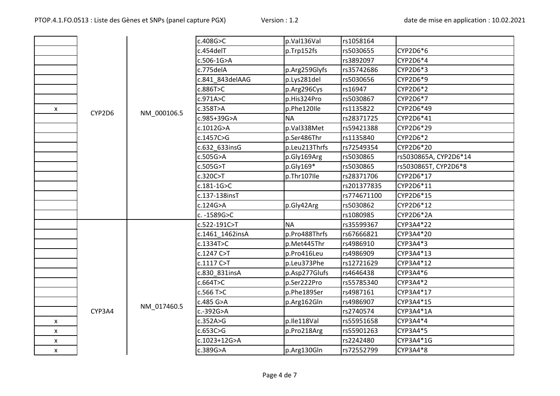|   |        |             | c.408G>C                 | p.Val136Val   | rs1058164   |                       |
|---|--------|-------------|--------------------------|---------------|-------------|-----------------------|
|   |        |             | c.454delT                | p.Trp152fs    | rs5030655   | CYP2D6*6              |
|   |        |             | c.506-1G>A               |               | rs3892097   | CYP2D6*4              |
|   |        |             | c.775delA                | p.Arg259Glyfs | rs35742686  | CYP2D6*3              |
|   |        |             | c.841_843delAAG          | p.Lys281del   | rs5030656   | CYP2D6*9              |
|   |        |             | c.886T>C                 | p.Arg296Cys   | rs16947     | CYP2D6*2              |
|   |        |             | c.971A>C                 | p.His324Pro   | rs5030867   | CYP2D6*7              |
| X | CYP2D6 | NM_000106.5 | c.358T>A                 | p.Phe120lle   | rs1135822   | CYP2D6*49             |
|   |        |             | c.985+39G>A              | <b>NA</b>     | rs28371725  | CYP2D6*41             |
|   |        |             | c.1012G>A                | p.Val338Met   | rs59421388  | CYP2D6*29             |
|   |        |             | c.1457C>G                | p.Ser486Thr   | rs1135840   | CYP2D6*2              |
|   |        |             | c.632 633insG            | p.Leu213Thrfs | rs72549354  | CYP2D6*20             |
|   |        |             | c.505G>A                 | p.Gly169Arg   | rs5030865   | rs5030865A, CYP2D6*14 |
|   |        |             | c.505G > T               | p.Gly169*     | rs5030865   | rs5030865T, CYP2D6*8  |
|   |        |             | c.320C>T                 | p.Thr107lle   | rs28371706  | CYP2D6*17             |
|   |        |             | $c.181 - 1G > C$         |               | rs201377835 | CYP2D6*11             |
|   |        |             | c.137-138insT            |               | rs774671100 | CYP2D6*15             |
|   |        |             | c.124G>A                 | p.Gly42Arg    | rs5030862   | CYP2D6*12             |
|   |        |             | c. -1589G>C              |               | rs1080985   | CYP2D6*2A             |
|   |        |             | c.522-191C>T             | <b>NA</b>     | rs35599367  | CYP3A4*22             |
|   |        |             | c.1461_1462insA          | p.Pro488Thrfs | rs67666821  | CYP3A4*20             |
|   |        |             | c.1334T>C<br>p.Met445Thr | rs4986910     | CYP3A4*3    |                       |
|   |        |             | c.1247 C>T               | p.Pro416Leu   | rs4986909   | CYP3A4*13             |
|   |        |             | c.1117 C > T             | p.Leu373Phe   | rs12721629  | CYP3A4*12             |
|   |        |             | c.830 831insA            | p.Asp277Glufs | rs4646438   | CYP3A4*6              |
|   |        |             | c.664T>C                 | p.Ser222Pro   | rs55785340  | CYP3A4*2              |
|   |        |             | c.566 T>C                | p.Phe189Ser   | rs4987161   | CYP3A4*17             |
|   |        | NM_017460.5 | c.485 G>A                | p.Arg162Gln   | rs4986907   | CYP3A4*15             |
|   | CYP3A4 |             | c.-392G>A                |               | rs2740574   | CYP3A4*1A             |
| X |        |             | c.352A>G                 | p.lle118Val   | rs55951658  | CYP3A4*4              |
| X |        |             | c.653C>G                 | p.Pro218Arg   | rs55901263  | CYP3A4*5              |
| X |        |             | c.1023+12G>A             |               | rs2242480   | CYP3A4*1G             |
| X |        |             | c.389G>A                 | p.Arg130Gln   | rs72552799  | CYP3A4*8              |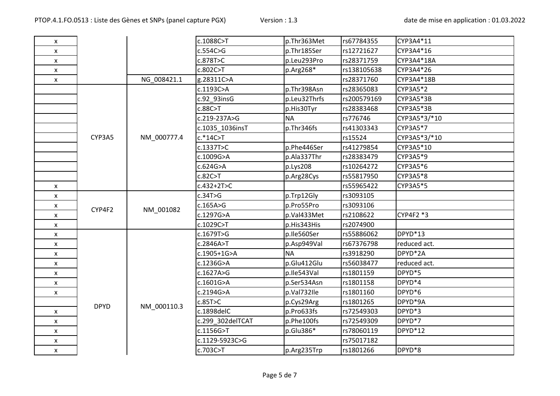| X |             |             | c.1088C>T        | p.Thr363Met  | rs67784355  | CYP3A4*11    |
|---|-------------|-------------|------------------|--------------|-------------|--------------|
| X |             |             | c.554C>G         | p.Thr185Ser  | rs12721627  | CYP3A4*16    |
| X |             |             | c.878T>C         | p.Leu293Pro  | rs28371759  | CYP3A4*18A   |
| X |             |             | c.802C>T         | p.Arg268*    | rs138105638 | CYP3A4*26    |
| X |             | NG 008421.1 | g.28311C>A       |              | rs28371760  | CYP3A4*18B   |
|   |             |             | c.1193C>A        | p.Thr398Asn  | rs28365083  | CYP3A5*2     |
|   |             |             | c.92 93insG      | p.Leu32Thrfs | rs200579169 | CYP3A5*3B    |
|   |             |             | c.88C > T        | p.His30Tyr   | rs28383468  | CYP3A5*3B    |
|   |             |             | c.219-237A>G     | <b>NA</b>    | rs776746    | CYP3A5*3/*10 |
|   |             |             | c.1035 1036insT  | p.Thr346fs   | rs41303343  | CYP3A5*7     |
|   | CYP3A5      | NM 000777.4 | $c.*14C>7$       |              | rs15524     | CYP3A5*3/*10 |
|   |             |             | c.1337T>C        | p.Phe446Ser  | rs41279854  | CYP3A5*10    |
|   |             |             | c.1009G>A        | p.Ala337Thr  | rs28383479  | CYP3A5*9     |
|   |             |             | c.624G>A         | p.Lys208     | rs10264272  | CYP3A5*6     |
|   |             |             | c.82C > T        | p.Arg28Cys   | rs55817950  | CYP3A5*8     |
| X |             |             | $c.432 + 2T > C$ |              | rs55965422  | CYP3A5*5     |
| X |             |             | c.34T>G          | p.Trp12Gly   | rs3093105   |              |
| X | CYP4F2      | NM_001082   | c.165A>G         | p.Pro55Pro   | rs3093106   |              |
| x |             |             | c.1297G>A        | p.Val433Met  | rs2108622   | CYP4F2 *3    |
| X |             |             | c.1029C>T        | p.His343His  | rs2074900   |              |
| X |             |             | c.1679T>G        | p.Ile560Ser  | rs55886062  | DPYD*13      |
| X |             |             | c.2846A>T        | p.Asp949Val  | rs67376798  | reduced act. |
| X |             |             | c.1905+1G>A      | <b>NA</b>    | rs3918290   | DPYD*2A      |
| X |             |             | c.1236G>A        | p.Glu412Glu  | rs56038477  | reduced act. |
| X |             |             | c.1627A>G        | p.Ile543Val  | rs1801159   | DPYD*5       |
| X |             |             | c.1601G>A        | p.Ser534Asn  | rs1801158   | DPYD*4       |
| X |             |             | c.2194G>A        | p.Val732Ile  | rs1801160   | DPYD*6       |
|   | <b>DPYD</b> | NM_000110.3 | c.85T>C          | p.Cys29Arg   | rs1801265   | DPYD*9A      |
| X |             |             | c.1898delC       | p.Pro633fs   | rs72549303  | DPYD*3       |
| X |             |             | c.299 302delTCAT | p.Phe100fs   | rs72549309  | DPYD*7       |
| X |             |             | c.1156G>T        | p.Glu386*    | rs78060119  | DPYD*12      |
| X |             |             | c.1129-5923C>G   |              | rs75017182  |              |
| X |             |             | c.703C>T         | p.Arg235Trp  | rs1801266   | DPYD*8       |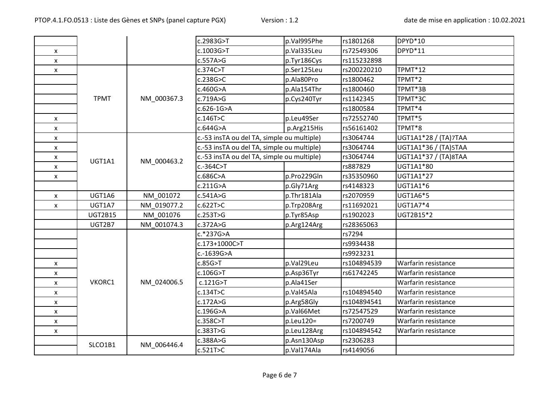|                    |                |             | c.2983G>T                                  | p.Val995Phe     | rs1801268   | DPYD <sup>*10</sup>  |
|--------------------|----------------|-------------|--------------------------------------------|-----------------|-------------|----------------------|
| X                  |                |             | c.1003G>T                                  | p.Val335Leu     | rs72549306  | DPYD*11              |
| $\pmb{\mathsf{x}}$ |                |             | c.557A>G                                   | p.Tyr186Cys     | rs115232898 |                      |
| $\pmb{\mathsf{x}}$ |                |             | c.374C>T                                   | p.Ser125Leu     | rs200220210 | TPMT*12              |
|                    |                |             | c.238G>C                                   | p.Ala80Pro      | rs1800462   | TPMT <sup>*</sup> 2  |
|                    |                |             | c.460G>A                                   | p.Ala154Thr     | rs1800460   | TPMT*3B              |
|                    | <b>TPMT</b>    | NM_000367.3 | c.719A>G                                   | p.Cys240Tyr     | rs1142345   | TPMT*3C              |
|                    |                |             | c.626-1G>A                                 |                 | rs1800584   | TPMT*4               |
| X                  |                |             | c.146T>C                                   | p.Leu49Ser      | rs72552740  | TPMT*5               |
| $\pmb{\mathsf{x}}$ |                |             | c.644G>A                                   | p.Arg215His     | rs56161402  | TPMT*8               |
| $\pmb{\mathsf{x}}$ |                |             | c.-53 insTA ou del TA, simple ou multiple) |                 | rs3064744   | UGT1A1*28 / (TA)7TAA |
| X                  |                |             | c.-53 insTA ou del TA, simple ou multiple) |                 | rs3064744   | UGT1A1*36 / (TA)5TAA |
| X                  | UGT1A1         | NM_000463.2 | c.-53 insTA ou del TA, simple ou multiple) |                 | rs3064744   | UGT1A1*37 / (TA)8TAA |
| $\pmb{\mathsf{x}}$ |                |             | $c.-364C>$ T                               |                 | rs887829    | UGT1A1*80            |
| X                  |                |             | c.686C>A                                   | p.Pro229Gln     | rs35350960  | UGT1A1*27            |
|                    |                |             | c.211G>A                                   | p.Gly71Arg      | rs4148323   | UGT1A1*6             |
| $\mathsf{x}$       | UGT1A6         | NM 001072   | c.541A > G                                 | p.Thr181Ala     | rs2070959   | UGT1A6*5             |
| $\pmb{\times}$     | UGT1A7         | NM 019077.2 | c.622T>C                                   | p.Trp208Arg     | rs11692021  | UGT1A7*4             |
|                    | <b>UGT2B15</b> | NM 001076   | c.253T>G                                   | p.Tyr85Asp      | rs1902023   | UGT2B15*2            |
|                    | UGT2B7         | NM 001074.3 | c.372A > G                                 | p.Arg124Arg     | rs28365063  |                      |
|                    |                |             | c.*237G>A                                  |                 | rs7294      |                      |
|                    |                |             | c.173+1000C>T                              |                 | rs9934438   |                      |
|                    |                |             | c.-1639G>A                                 |                 | rs9923231   |                      |
| $\mathsf{x}$       |                |             | c.85G > T                                  | p.Val29Leu      | rs104894539 | Warfarin resistance  |
| X                  |                |             | c.106G > T                                 | p.Asp36Tyr      | rs61742245  | Warfarin resistance  |
| $\pmb{\times}$     | VKORC1         | NM_024006.5 | c.121G > T                                 | p.Ala41Ser      |             | Warfarin resistance  |
| $\pmb{\mathsf{X}}$ |                |             | c.134T>C                                   | p.Val45Ala      | rs104894540 | Warfarin resistance  |
| $\pmb{\mathsf{x}}$ |                |             | c.172A>G                                   | p.Arg58Gly      | rs104894541 | Warfarin resistance  |
| $\pmb{\mathsf{x}}$ |                |             | c.196G>A                                   | p.Val66Met      | rs72547529  | Warfarin resistance  |
| $\pmb{\mathsf{x}}$ |                |             | c.358C>T                                   | $p.$ Leu $120=$ | rs7200749   | Warfarin resistance  |
| $\pmb{\mathsf{x}}$ |                |             | c.383T>G                                   | p.Leu128Arg     | rs104894542 | Warfarin resistance  |
|                    | SLCO1B1        | NM_006446.4 | c.388A>G                                   | p.Asn130Asp     | rs2306283   |                      |
|                    |                |             | c.521T>C                                   | p.Val174Ala     | rs4149056   |                      |